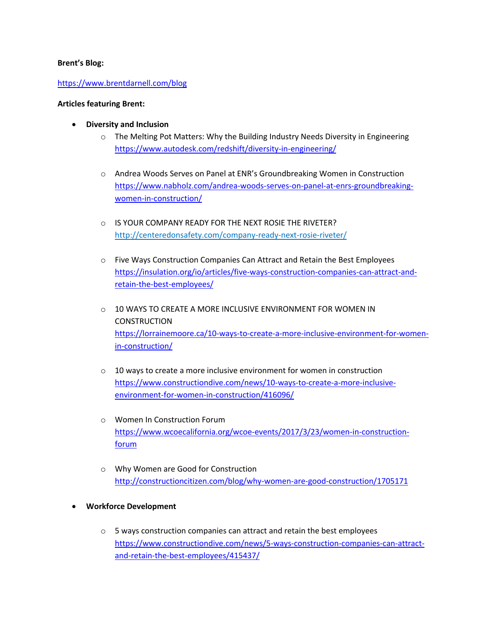### **Brent's Blog:**

### https://www.brentdarnell.com/blog

#### **Articles featuring Brent:**

- **Diversity and Inclusion**
	- $\circ$  The Melting Pot Matters: Why the Building Industry Needs Diversity in Engineering https://www.autodesk.com/redshift/diversity-in-engineering/
	- o Andrea Woods Serves on Panel at ENR's Groundbreaking Women in Construction https://www.nabholz.com/andrea-woods-serves-on-panel-at-enrs-groundbreakingwomen-in-construction/
	- o IS YOUR COMPANY READY FOR THE NEXT ROSIE THE RIVETER? http://centeredonsafety.com/company-ready-next-rosie-riveter/
	- o Five Ways Construction Companies Can Attract and Retain the Best Employees https://insulation.org/io/articles/five-ways-construction-companies-can-attract-andretain-the-best-employees/
	- $\circ$  10 WAYS TO CREATE A MORE INCLUSIVE ENVIRONMENT FOR WOMEN IN **CONSTRUCTION** https://lorrainemoore.ca/10-ways-to-create-a-more-inclusive-environment-for-womenin-construction/
	- o 10 ways to create a more inclusive environment for women in construction https://www.constructiondive.com/news/10-ways-to-create-a-more-inclusiveenvironment-for-women-in-construction/416096/
	- o Women In Construction Forum https://www.wcoecalifornia.org/wcoe-events/2017/3/23/women-in-constructionforum
	- o Why Women are Good for Construction http://constructioncitizen.com/blog/why-women-are-good-construction/1705171
- **Workforce Development**
	- o 5 ways construction companies can attract and retain the best employees https://www.constructiondive.com/news/5-ways-construction-companies-can-attractand-retain-the-best-employees/415437/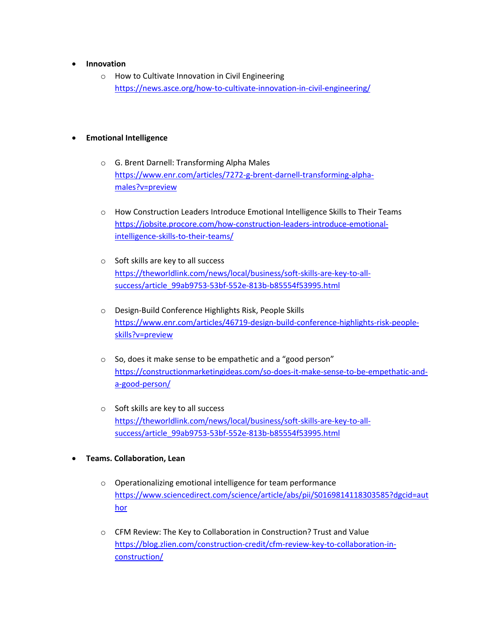- **Innovation**
	- o How to Cultivate Innovation in Civil Engineering https://news.asce.org/how-to-cultivate-innovation-in-civil-engineering/

### • **Emotional Intelligence**

- o G. Brent Darnell: Transforming Alpha Males https://www.enr.com/articles/7272-g-brent-darnell-transforming-alphamales?v=preview
- o How Construction Leaders Introduce Emotional Intelligence Skills to Their Teams https://jobsite.procore.com/how-construction-leaders-introduce-emotionalintelligence-skills-to-their-teams/
- o Soft skills are key to all success https://theworldlink.com/news/local/business/soft-skills-are-key-to-allsuccess/article\_99ab9753-53bf-552e-813b-b85554f53995.html
- o Design-Build Conference Highlights Risk, People Skills https://www.enr.com/articles/46719-design-build-conference-highlights-risk-peopleskills?v=preview
- o So, does it make sense to be empathetic and a "good person" https://constructionmarketingideas.com/so-does-it-make-sense-to-be-empethatic-anda-good-person/
- o Soft skills are key to all success https://theworldlink.com/news/local/business/soft-skills-are-key-to-allsuccess/article\_99ab9753-53bf-552e-813b-b85554f53995.html
- **Teams. Collaboration, Lean**
	- o Operationalizing emotional intelligence for team performance https://www.sciencedirect.com/science/article/abs/pii/S0169814118303585?dgcid=aut hor
	- o CFM Review: The Key to Collaboration in Construction? Trust and Value https://blog.zlien.com/construction-credit/cfm-review-key-to-collaboration-inconstruction/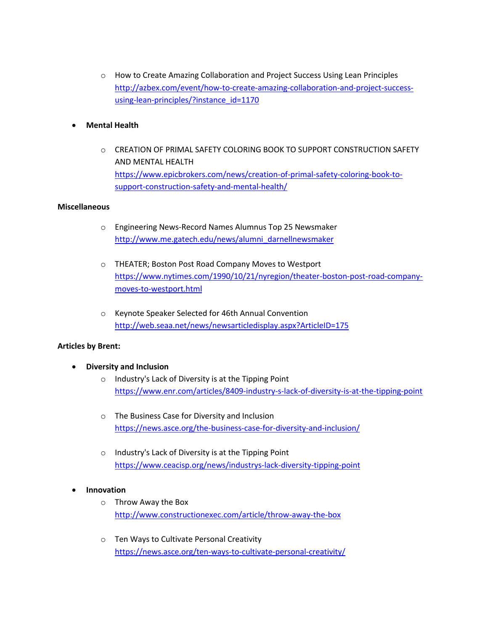o How to Create Amazing Collaboration and Project Success Using Lean Principles http://azbex.com/event/how-to-create-amazing-collaboration-and-project-successusing-lean-principles/?instance\_id=1170

### • **Mental Health**

 $\circ$  CREATION OF PRIMAL SAFETY COLORING BOOK TO SUPPORT CONSTRUCTION SAFETY AND MENTAL HEALTH https://www.epicbrokers.com/news/creation-of-primal-safety-coloring-book-tosupport-construction-safety-and-mental-health/

### **Miscellaneous**

- o Engineering News-Record Names Alumnus Top 25 Newsmaker http://www.me.gatech.edu/news/alumni\_darnellnewsmaker
- o THEATER; Boston Post Road Company Moves to Westport https://www.nytimes.com/1990/10/21/nyregion/theater-boston-post-road-companymoves-to-westport.html
- o Keynote Speaker Selected for 46th Annual Convention http://web.seaa.net/news/newsarticledisplay.aspx?ArticleID=175

#### **Articles by Brent:**

- **Diversity and Inclusion**
	- o Industry's Lack of Diversity is at the Tipping Point https://www.enr.com/articles/8409-industry-s-lack-of-diversity-is-at-the-tipping-point
	- o The Business Case for Diversity and Inclusion https://news.asce.org/the-business-case-for-diversity-and-inclusion/
	- o Industry's Lack of Diversity is at the Tipping Point https://www.ceacisp.org/news/industrys-lack-diversity-tipping-point

#### • **Innovation**

- o Throw Away the Box http://www.constructionexec.com/article/throw-away-the-box
- o Ten Ways to Cultivate Personal Creativity https://news.asce.org/ten-ways-to-cultivate-personal-creativity/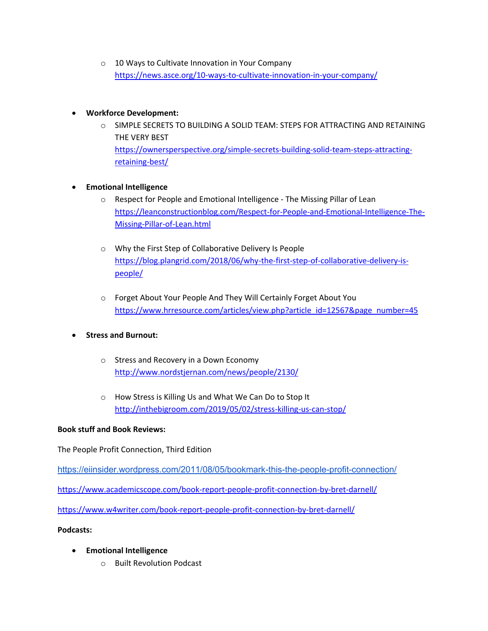o 10 Ways to Cultivate Innovation in Your Company https://news.asce.org/10-ways-to-cultivate-innovation-in-your-company/

# • **Workforce Development:**

o SIMPLE SECRETS TO BUILDING A SOLID TEAM: STEPS FOR ATTRACTING AND RETAINING THE VERY BEST https://ownersperspective.org/simple-secrets-building-solid-team-steps-attractingretaining-best/

# • **Emotional Intelligence**

- o Respect for People and Emotional Intelligence The Missing Pillar of Lean https://leanconstructionblog.com/Respect-for-People-and-Emotional-Intelligence-The-Missing-Pillar-of-Lean.html
- o Why the First Step of Collaborative Delivery Is People https://blog.plangrid.com/2018/06/why-the-first-step-of-collaborative-delivery-ispeople/
- o Forget About Your People And They Will Certainly Forget About You https://www.hrresource.com/articles/view.php?article\_id=12567&page\_number=45

# • **Stress and Burnout:**

- o Stress and Recovery in a Down Economy http://www.nordstjernan.com/news/people/2130/
- o How Stress is Killing Us and What We Can Do to Stop It http://inthebigroom.com/2019/05/02/stress-killing-us-can-stop/

# **Book stuff and Book Reviews:**

The People Profit Connection, Third Edition

https://eiinsider.wordpress.com/2011/08/05/bookmark-this-the-people-profit-connection/

https://www.academicscope.com/book-report-people-profit-connection-by-bret-darnell/

https://www.w4writer.com/book-report-people-profit-connection-by-bret-darnell/

# **Podcasts:**

- **Emotional Intelligence**
	- o Built Revolution Podcast